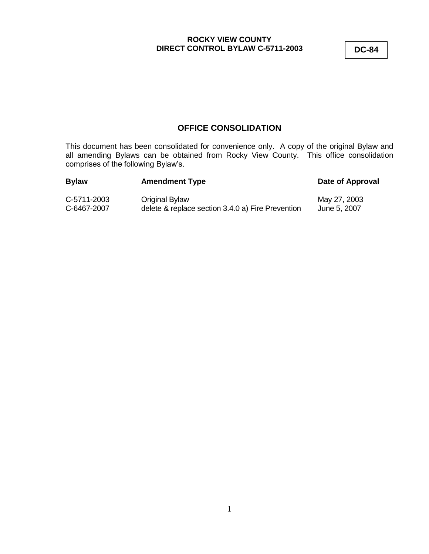**DC-84**

## **OFFICE CONSOLIDATION**

This document has been consolidated for convenience only. A copy of the original Bylaw and all amending Bylaws can be obtained from Rocky View County. This office consolidation comprises of the following Bylaw's.

| <b>Bylaw</b> | <b>Amendment Type</b>                             | Date of Approval |
|--------------|---------------------------------------------------|------------------|
| C-5711-2003  | Original Bylaw                                    | May 27, 2003     |
| C-6467-2007  | delete & replace section 3.4.0 a) Fire Prevention | June 5, 2007     |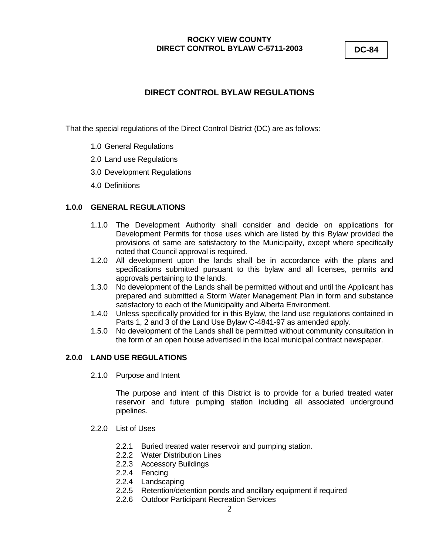**DC-84**

# **DIRECT CONTROL BYLAW REGULATIONS**

That the special regulations of the Direct Control District (DC) are as follows:

- 1.0 General Regulations
- 2.0 Land use Regulations
- 3.0 Development Regulations
- 4.0 Definitions

## **1.0.0 GENERAL REGULATIONS**

- 1.1.0 The Development Authority shall consider and decide on applications for Development Permits for those uses which are listed by this Bylaw provided the provisions of same are satisfactory to the Municipality, except where specifically noted that Council approval is required.
- 1.2.0 All development upon the lands shall be in accordance with the plans and specifications submitted pursuant to this bylaw and all licenses, permits and approvals pertaining to the lands.
- 1.3.0 No development of the Lands shall be permitted without and until the Applicant has prepared and submitted a Storm Water Management Plan in form and substance satisfactory to each of the Municipality and Alberta Environment.
- 1.4.0 Unless specifically provided for in this Bylaw, the land use regulations contained in Parts 1, 2 and 3 of the Land Use Bylaw C-4841-97 as amended apply.
- 1.5.0 No development of the Lands shall be permitted without community consultation in the form of an open house advertised in the local municipal contract newspaper.

## **2.0.0 LAND USE REGULATIONS**

2.1.0 Purpose and Intent

The purpose and intent of this District is to provide for a buried treated water reservoir and future pumping station including all associated underground pipelines.

- 2.2.0 List of Uses
	- 2.2.1 Buried treated water reservoir and pumping station.
	- 2.2.2 Water Distribution Lines
	- 2.2.3 Accessory Buildings
	- 2.2.4 Fencing
	- 2.2.4 Landscaping
	- 2.2.5 Retention/detention ponds and ancillary equipment if required
	- 2.2.6 Outdoor Participant Recreation Services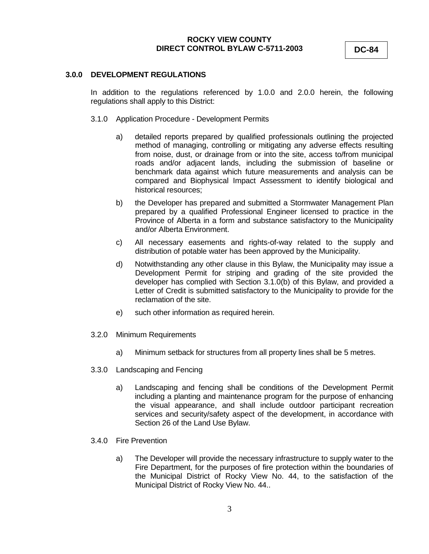**DC-84**

#### **3.0.0 DEVELOPMENT REGULATIONS**

In addition to the regulations referenced by 1.0.0 and 2.0.0 herein, the following regulations shall apply to this District:

- 3.1.0 Application Procedure Development Permits
	- a) detailed reports prepared by qualified professionals outlining the projected method of managing, controlling or mitigating any adverse effects resulting from noise, dust, or drainage from or into the site, access to/from municipal roads and/or adjacent lands, including the submission of baseline or benchmark data against which future measurements and analysis can be compared and Biophysical Impact Assessment to identify biological and historical resources;
	- b) the Developer has prepared and submitted a Stormwater Management Plan prepared by a qualified Professional Engineer licensed to practice in the Province of Alberta in a form and substance satisfactory to the Municipality and/or Alberta Environment.
	- c) All necessary easements and rights-of-way related to the supply and distribution of potable water has been approved by the Municipality.
	- d) Notwithstanding any other clause in this Bylaw, the Municipality may issue a Development Permit for striping and grading of the site provided the developer has complied with Section 3.1.0(b) of this Bylaw, and provided a Letter of Credit is submitted satisfactory to the Municipality to provide for the reclamation of the site.
	- e) such other information as required herein.
- 3.2.0 Minimum Requirements
	- a) Minimum setback for structures from all property lines shall be 5 metres.
- 3.3.0 Landscaping and Fencing
	- a) Landscaping and fencing shall be conditions of the Development Permit including a planting and maintenance program for the purpose of enhancing the visual appearance, and shall include outdoor participant recreation services and security/safety aspect of the development, in accordance with Section 26 of the Land Use Bylaw.
- 3.4.0 Fire Prevention
	- a) The Developer will provide the necessary infrastructure to supply water to the Fire Department, for the purposes of fire protection within the boundaries of the Municipal District of Rocky View No. 44, to the satisfaction of the Municipal District of Rocky View No. 44..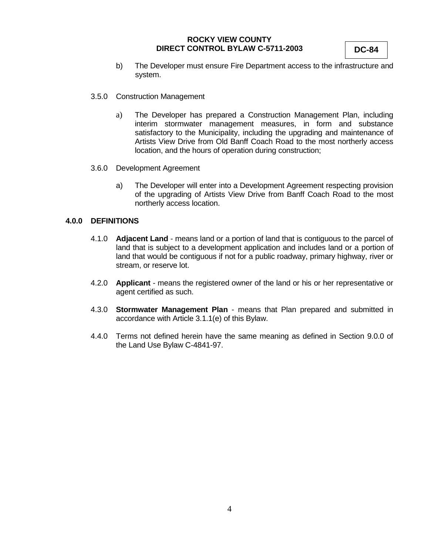**DC-84**

- b) The Developer must ensure Fire Department access to the infrastructure and system.
- 3.5.0 Construction Management
	- a) The Developer has prepared a Construction Management Plan, including interim stormwater management measures, in form and substance satisfactory to the Municipality, including the upgrading and maintenance of Artists View Drive from Old Banff Coach Road to the most northerly access location, and the hours of operation during construction;
- 3.6.0 Development Agreement
	- a) The Developer will enter into a Development Agreement respecting provision of the upgrading of Artists View Drive from Banff Coach Road to the most northerly access location.

#### **4.0.0 DEFINITIONS**

- 4.1.0 **Adjacent Land**  means land or a portion of land that is contiguous to the parcel of land that is subject to a development application and includes land or a portion of land that would be contiguous if not for a public roadway, primary highway, river or stream, or reserve lot.
- 4.2.0 **Applicant** means the registered owner of the land or his or her representative or agent certified as such.
- 4.3.0 **Stormwater Management Plan** means that Plan prepared and submitted in accordance with Article 3.1.1(e) of this Bylaw.
- 4.4.0 Terms not defined herein have the same meaning as defined in Section 9.0.0 of the Land Use Bylaw C-4841-97.